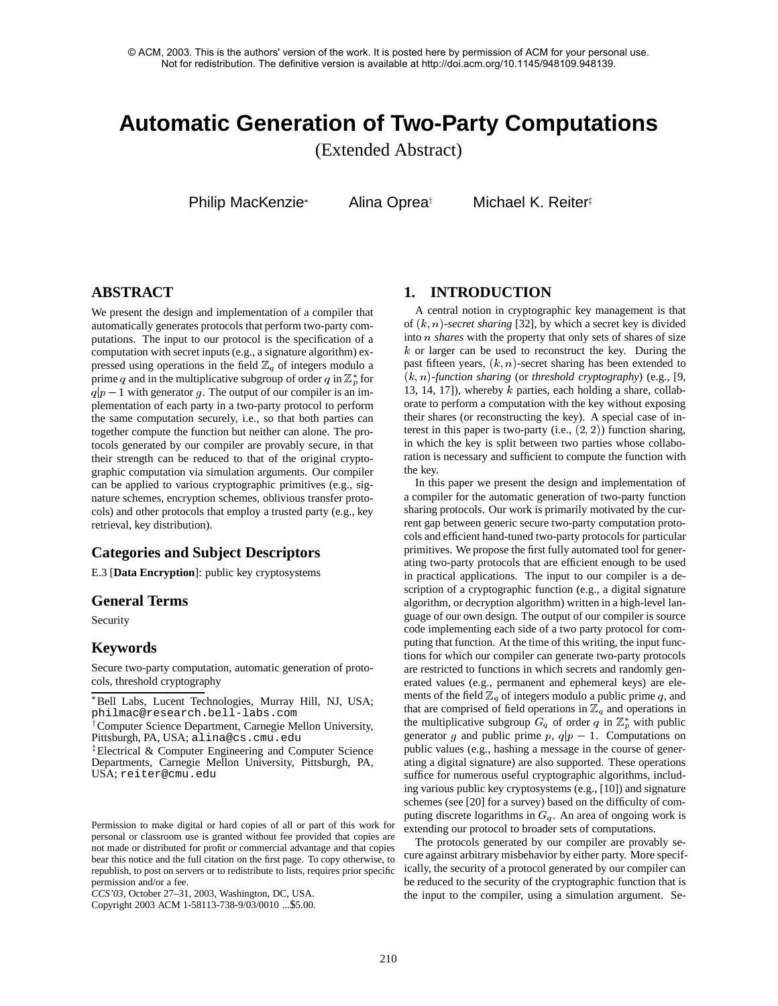# **Automatic Generation of Two-Party Computations**

(Extended Abstract)

Philip MacKenzie\*

Alina Opreat

Michael K. Reiter $\overline{z}$ 

# **ABSTRACT**

We present the design and implementation of a compiler that automatically generates protocols that perform two-party computations. The input to our protocol is the specification of a computation with secret inputs (e.g., a signature algorithm) expressed using operations in the field  $\mathbb{Z}_q$  of integers modulo a prime q and in the multiplicative subgroup of order q in  $\mathbb{Z}_p^*$  for  $q|p-1$  with generator g. The output of our compiler is an implementation of each party in a two-party protocol to perform the same computation securely, i.e., so that both parties can together compute the function but neither can alone. The protocols generated by our compiler are provably secure, in that their strength can be reduced to that of the original cryptographic computation via simulation arguments. Our compiler can be applied to various cryptographic primitives (e.g., signature schemes, encryption schemes, oblivious transfer protocols) and other protocols that employ a trusted party (e.g., key retrieval, key distribution).

# **Categories and Subject Descriptors**

E.3 [**Data Encryption**]: public key cryptosystems

# **General Terms**

Security

# **Keywords**

Secure two-party computation, automatic generation of protocols, threshold cryptography

*CCS'03,* October 27–31, 2003, Washington, DC, USA.

Copyright 2003 ACM 1-58113-738-9/03/0010 ...\$5.00.

# **1. INTRODUCTION**

A central notion in cryptographic key management is that of (k; n)-*secret sharing* [32], by which a secret key is divided into <sup>n</sup> *shares* with the property that only sets of shares of size k or larger can be used to reconstruct the key. During the past fifteen years,  $(k, n)$ -secret sharing has been extended to (k; n)-*function sharing* (or *threshold cryptography*) (e.g., [9, 13, 14, 17]), whereby  $k$  parties, each holding a share, collaborate to perform a computation with the key without exposing their shares (or reconstructing the key). A special case of interest in this paper is two-party (i.e.,  $(2, 2)$ ) function sharing, in which the key is split between two parties whose collaboration is necessary and sufficient to compute the function with the key.

In this paper we present the design and implementation of a compiler for the automatic generation of two-party function sharing protocols. Our work is primarily motivated by the current gap between generic secure two-party computation protocols and efficient hand-tuned two-party protocols for particular primitives. We propose the first fully automated tool for generating two-party protocols that are efficient enough to be used in practical applications. The input to our compiler is a description of a cryptographic function (e.g., a digital signature algorithm, or decryption algorithm) written in a high-level language of our own design. The output of our compiler is source code implementing each side of a two party protocol for computing that function. At the time of this writing, the input functions for which our compiler can generate two-party protocols are restricted to functions in which secrets and randomly generated values (e.g., permanent and ephemeral keys) are elements of the field  $\mathbb{Z}_q$  of integers modulo a public prime q, and that are comprised of field operations in  $\mathbb{Z}_q$  and operations in the multiplicative subgroup  $G_q$  of order q in  $\mathbb{Z}_p^*$  with public generator g and public prime p,  $q|p - 1$ . Computations on public values (e.g., hashing a message in the course of generating a digital signature) are also supported. These operations suffice for numerous useful cryptographic algorithms, including various public key cryptosystems (e.g., [10]) and signature schemes (see [20] for a survey) based on the difficulty of computing discrete logarithms in  $G_q$ . An area of ongoing work is extending our protocol to broader sets of computations.

The protocols generated by our compiler are provably secure against arbitrary misbehavior by either party. More specifically, the security of a protocol generated by our compiler can be reduced to the security of the cryptographic function that is the input to the compiler, using a simulation argument. Se-

Bell Labs, Lucent Technologies, Murray Hill, NJ, USA; philmac@research.bell-labs.com

<sup>&</sup>lt;sup>†</sup> Computer Science Department, Carnegie Mellon University, Pittsburgh, PA, USA; alina@cs.cmu.edu

<sup>&</sup>lt;sup>‡</sup>Electrical & Computer Engineering and Computer Science Departments, Carnegie Mellon University, Pittsburgh, PA, USA; reiter@cmu.edu

Permission to make digital or hard copies of all or part of this work for personal or classroom use is granted without fee provided that copies are not made or distributed for profit or commercial advantage and that copies bear this notice and the full citation on the first page. To copy otherwise, to republish, to post on servers or to redistribute to lists, requires prior specific permission and/or a fee.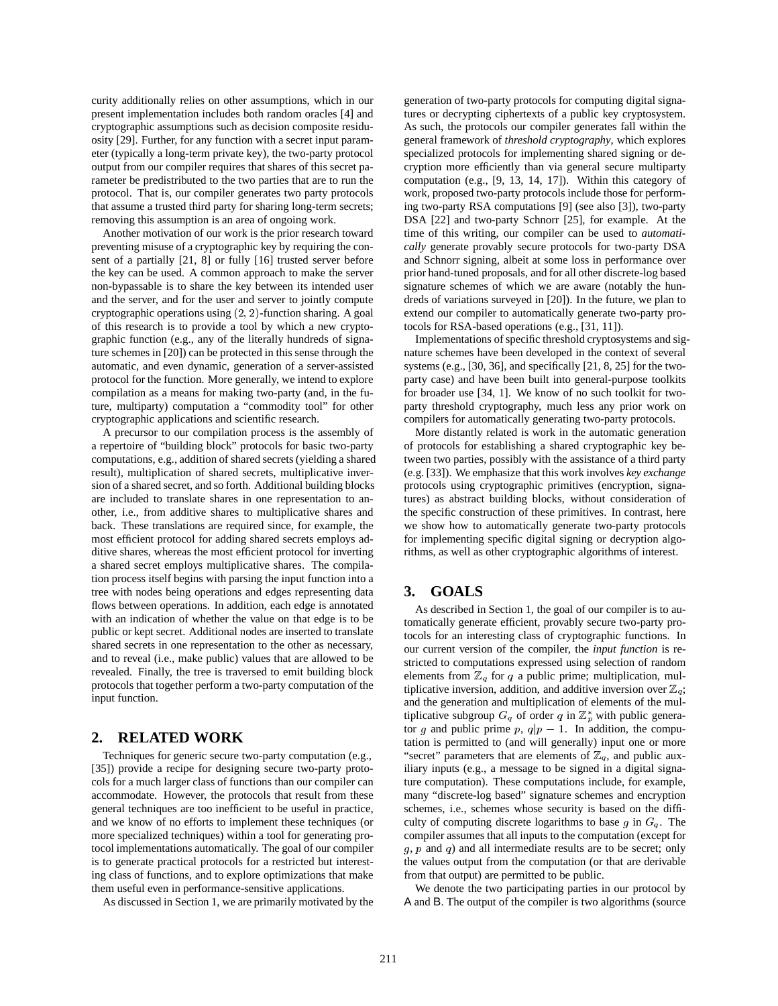curity additionally relies on other assumptions, which in our present implementation includes both random oracles [4] and cryptographic assumptions such as decision composite residuosity [29]. Further, for any function with a secret input parameter (typically a long-term private key), the two-party protocol output from our compiler requires that shares of this secret parameter be predistributed to the two parties that are to run the protocol. That is, our compiler generates two party protocols that assume a trusted third party for sharing long-term secrets; removing this assumption is an area of ongoing work.

Another motivation of our work is the prior research toward preventing misuse of a cryptographic key by requiring the consent of a partially [21, 8] or fully [16] trusted server before the key can be used. A common approach to make the server non-bypassable is to share the key between its intended user and the server, and for the user and server to jointly compute cryptographic operations using (2; 2)-function sharing. A goal of this research is to provide a tool by which a new cryptographic function (e.g., any of the literally hundreds of signature schemes in [20]) can be protected in this sense through the automatic, and even dynamic, generation of a server-assisted protocol for the function. More generally, we intend to explore compilation as a means for making two-party (and, in the future, multiparty) computation a "commodity tool" for other cryptographic applications and scientific research.

A precursor to our compilation process is the assembly of a repertoire of "building block" protocols for basic two-party computations, e.g., addition of shared secrets (yielding a shared result), multiplication of shared secrets, multiplicative inversion of a shared secret, and so forth. Additional building blocks are included to translate shares in one representation to another, i.e., from additive shares to multiplicative shares and back. These translations are required since, for example, the most efficient protocol for adding shared secrets employs additive shares, whereas the most efficient protocol for inverting a shared secret employs multiplicative shares. The compilation process itself begins with parsing the input function into a tree with nodes being operations and edges representing data flows between operations. In addition, each edge is annotated with an indication of whether the value on that edge is to be public or kept secret. Additional nodes are inserted to translate shared secrets in one representation to the other as necessary, and to reveal (i.e., make public) values that are allowed to be revealed. Finally, the tree is traversed to emit building block protocols that together perform a two-party computation of the input function.

# **2. RELATED WORK**

Techniques for generic secure two-party computation (e.g., [35]) provide a recipe for designing secure two-party protocols for a much larger class of functions than our compiler can accommodate. However, the protocols that result from these general techniques are too inefficient to be useful in practice, and we know of no efforts to implement these techniques (or more specialized techniques) within a tool for generating protocol implementations automatically. The goal of our compiler is to generate practical protocols for a restricted but interesting class of functions, and to explore optimizations that make them useful even in performance-sensitive applications.

As discussed in Section 1, we are primarily motivated by the

generation of two-party protocols for computing digital signatures or decrypting ciphertexts of a public key cryptosystem. As such, the protocols our compiler generates fall within the general framework of *threshold cryptography*, which explores specialized protocols for implementing shared signing or decryption more efficiently than via general secure multiparty computation (e.g., [9, 13, 14, 17]). Within this category of work, proposed two-party protocols include those for performing two-party RSA computations [9] (see also [3]), two-party DSA [22] and two-party Schnorr [25], for example. At the time of this writing, our compiler can be used to *automatically* generate provably secure protocols for two-party DSA and Schnorr signing, albeit at some loss in performance over prior hand-tuned proposals, and for all other discrete-log based signature schemes of which we are aware (notably the hundreds of variations surveyed in [20]). In the future, we plan to extend our compiler to automatically generate two-party protocols for RSA-based operations (e.g., [31, 11]).

Implementations of specific threshold cryptosystems and signature schemes have been developed in the context of several systems (e.g., [30, 36], and specifically [21, 8, 25] for the twoparty case) and have been built into general-purpose toolkits for broader use [34, 1]. We know of no such toolkit for twoparty threshold cryptography, much less any prior work on compilers for automatically generating two-party protocols.

More distantly related is work in the automatic generation of protocols for establishing a shared cryptographic key between two parties, possibly with the assistance of a third party (e.g. [33]). We emphasize that this work involves *key exchange* protocols using cryptographic primitives (encryption, signatures) as abstract building blocks, without consideration of the specific construction of these primitives. In contrast, here we show how to automatically generate two-party protocols for implementing specific digital signing or decryption algorithms, as well as other cryptographic algorithms of interest.

### **3. GOALS**

As described in Section 1, the goal of our compiler is to automatically generate efficient, provably secure two-party protocols for an interesting class of cryptographic functions. In our current version of the compiler, the *input function* is restricted to computations expressed using selection of random elements from  $\mathbb{Z}_q$  for q a public prime; multiplication, multiplicative inversion, addition, and additive inversion over  $\mathbb{Z}_q$ ; and the generation and multiplication of elements of the multiplicative subgroup  $G_q$  of order q in  $\mathbb{Z}_p^*$  with public generator g and public prime p,  $q|p-1$ . In addition, the computation is permitted to (and will generally) input one or more "secret" parameters that are elements of  $\mathbb{Z}_q$ , and public auxiliary inputs (e.g., a message to be signed in a digital signature computation). These computations include, for example, many "discrete-log based" signature schemes and encryption schemes, i.e., schemes whose security is based on the difficulty of computing discrete logarithms to base g in  $G_q$ . The compiler assumes that all inputs to the computation (except for  $g, p$  and  $q$ ) and all intermediate results are to be secret; only the values output from the computation (or that are derivable from that output) are permitted to be public.

We denote the two participating parties in our protocol by A and B. The output of the compiler is two algorithms (source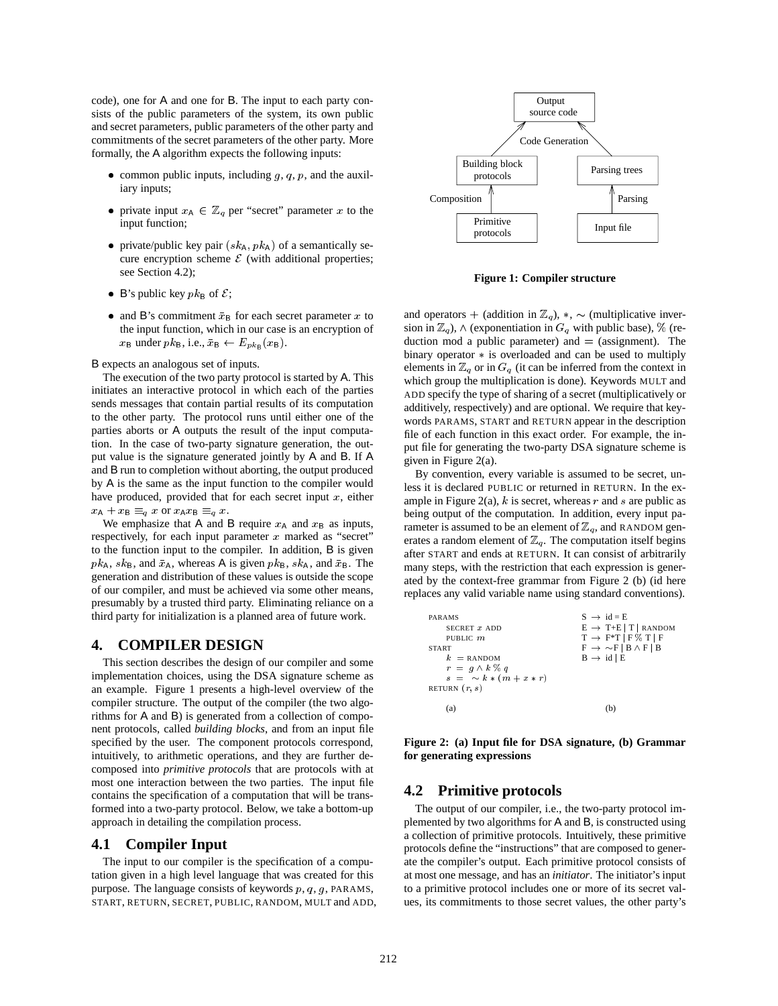code), one for A and one for B. The input to each party consists of the public parameters of the system, its own public and secret parameters, public parameters of the other party and commitments of the secret parameters of the other party. More formally, the A algorithm expects the following inputs:

- common public inputs, including  $g, q, p$ , and the auxiliary inputs;
- private input  $x_A \in \mathbb{Z}_q$  per "secret" parameter x to the input function;
- private/public key pair  $(s k_A, p k_A)$  of a semantically secure encryption scheme  $\mathcal E$  (with additional properties; see Section 4.2);
- B's public key  $pk_B$  of  $\mathcal{E}$ ;
- and B's commitment  $\bar{x}_B$  for each secret parameter x to the input function, which in our case is an encryption of  $x_B$  under  $pk_B$ , i.e.,  $\bar{x}_B \leftarrow E_{pk_B} (x_B)$ .

B expects an analogous set of inputs.

The execution of the two party protocol is started by A. This initiates an interactive protocol in which each of the parties sends messages that contain partial results of its computation to the other party. The protocol runs until either one of the parties aborts or A outputs the result of the input computation. In the case of two-party signature generation, the output value is the signature generated jointly by A and B. If A and B run to completion without aborting, the output produced by A is the same as the input function to the compiler would have produced, provided that for each secret input  $x$ , either  $x_A + x_B \equiv_q x$  or  $x_A x_B \equiv_q x$ .

We emphasize that A and B require  $x_A$  and  $x_B$  as inputs, respectively, for each input parameter  $x$  marked as "secret" to the function input to the compiler. In addition, B is given  $pk_A$ ,  $sk_B$ , and  $\bar{x}_A$ , whereas A is given  $pk_B$ ,  $sk_A$ , and  $\bar{x}_B$ . The generation and distribution of these values is outside the scope of our compiler, and must be achieved via some other means, presumably by a trusted third party. Eliminating reliance on a third party for initialization is a planned area of future work.

# **4. COMPILER DESIGN**

This section describes the design of our compiler and some implementation choices, using the DSA signature scheme as an example. Figure 1 presents a high-level overview of the compiler structure. The output of the compiler (the two algorithms for A and B) is generated from a collection of component protocols, called *building blocks*, and from an input file specified by the user. The component protocols correspond, intuitively, to arithmetic operations, and they are further decomposed into *primitive protocols* that are protocols with at most one interaction between the two parties. The input file contains the specification of a computation that will be transformed into a two-party protocol. Below, we take a bottom-up approach in detailing the compilation process.

## **4.1 Compiler Input**

The input to our compiler is the specification of a computation given in a high level language that was created for this purpose. The language consists of keywords  $p$ ,  $q$ ,  $q$ ,  $p$ ARAMS, START, RETURN, SECRET, PUBLIC, RANDOM, MULT and ADD,



**Figure 1: Compiler structure**

and operators + (addition in  $\mathbb{Z}_q$ ), \*, ~ (multiplicative inversion in  $\mathbb{Z}_q$ ),  $\wedge$  (exponentiation in  $G_q$  with public base), % (reduction mod a public parameter) and  $=$  (assignment). The binary operator  $*$  is overloaded and can be used to multiply elements in  $\mathbb{Z}_q$  or in  $G_q$  (it can be inferred from the context in which group the multiplication is done). Keywords MULT and ADD specify the type of sharing of a secret (multiplicatively or additively, respectively) and are optional. We require that keywords PARAMS, START and RETURN appear in the description file of each function in this exact order. For example, the input file for generating the two-party DSA signature scheme is given in Figure 2(a).

By convention, every variable is assumed to be secret, unless it is declared PUBLIC or returned in RETURN. In the example in Figure 2(a),  $k$  is secret, whereas  $r$  and  $s$  are public as being output of the computation. In addition, every input parameter is assumed to be an element of  $\mathbb{Z}_q$ , and RANDOM generates a random element of  $\mathbb{Z}_q$ . The computation itself begins after START and ends at RETURN. It can consist of arbitrarily many steps, with the restriction that each expression is generated by the context-free grammar from Figure 2 (b) (id here replaces any valid variable name using standard conventions).

| PARAMS                          | $S \rightarrow id = E$                  |
|---------------------------------|-----------------------------------------|
| SECRET $x$ ADD                  | $E \rightarrow T+E   T  $ RANDOM        |
| PUBLIC m                        | $T \rightarrow F^*T \mid F \% T \mid F$ |
| <b>START</b>                    | $F \rightarrow \sim F   B \wedge F   B$ |
| $k =$ RANDOM                    | $B \rightarrow id \mid E$               |
| $r = g \wedge k \mathbin{\%} q$ |                                         |
| $s = \sim k * (m + x * r)$      |                                         |
| RETURN $(r, s)$                 |                                         |
| (a)                             |                                         |

**Figure 2: (a) Input file for DSA signature, (b) Grammar for generating expressions**

### **4.2 Primitive protocols**

The output of our compiler, i.e., the two-party protocol implemented by two algorithms for A and B, is constructed using a collection of primitive protocols. Intuitively, these primitive protocols define the "instructions" that are composed to generate the compiler's output. Each primitive protocol consists of at most one message, and has an *initiator*. The initiator's input to a primitive protocol includes one or more of its secret values, its commitments to those secret values, the other party's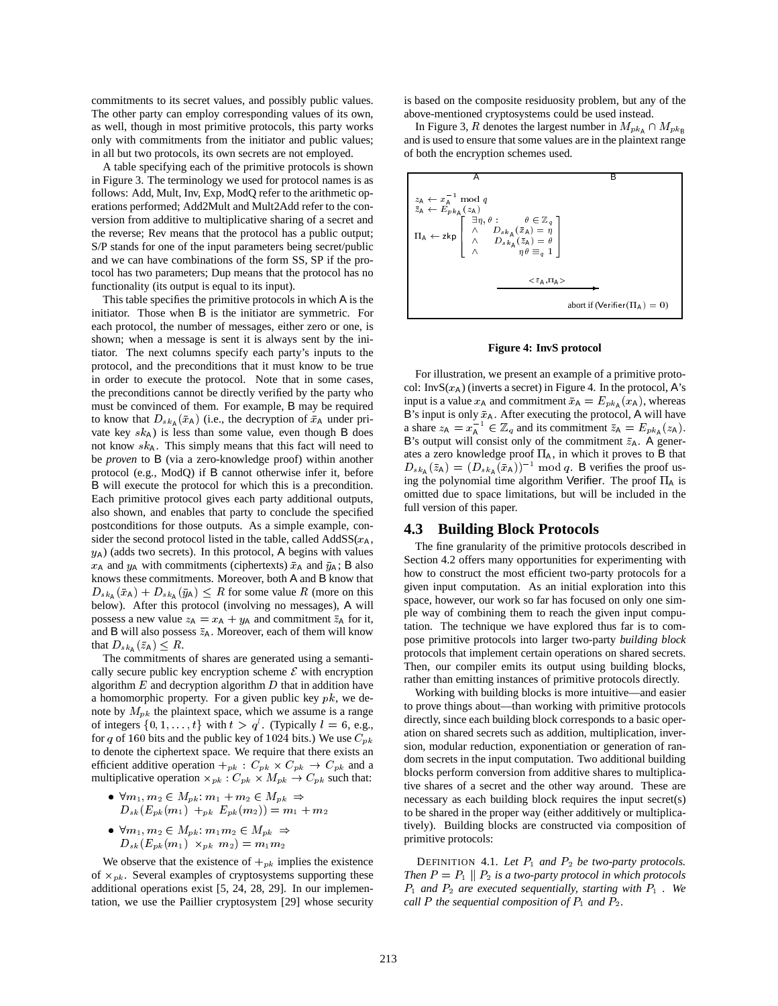commitments to its secret values, and possibly public values. The other party can employ corresponding values of its own, as well, though in most primitive protocols, this party works only with commitments from the initiator and public values; in all but two protocols, its own secrets are not employed.

A table specifying each of the primitive protocols is shown in Figure 3. The terminology we used for protocol names is as follows: Add, Mult, Inv, Exp, ModQ refer to the arithmetic operations performed; Add2Mult and Mult2Add refer to the conversion from additive to multiplicative sharing of a secret and the reverse; Rev means that the protocol has a public output; S/P stands for one of the input parameters being secret/public and we can have combinations of the form SS, SP if the protocol has two parameters; Dup means that the protocol has no functionality (its output is equal to its input).

This table specifies the primitive protocols in which A is the initiator. Those when B is the initiator are symmetric. For each protocol, the number of messages, either zero or one, is shown; when a message is sent it is always sent by the initiator. The next columns specify each party's inputs to the protocol, and the preconditions that it must know to be true in order to execute the protocol. Note that in some cases, the preconditions cannot be directly verified by the party who must be convinced of them. For example, B may be required to know that  $D_{s k_A}(\bar{x}_A)$  (i.e., the decryption of  $\bar{x}_A$  under private key  $s k_A$ ) is less than some value, even though B does not know  $s_{A}$ . This simply means that this fact will need to be *proven* to B (via a zero-knowledge proof) within another protocol (e.g., ModQ) if B cannot otherwise infer it, before B will execute the protocol for which this is a precondition. Each primitive protocol gives each party additional outputs, also shown, and enables that party to conclude the specified postconditions for those outputs. As a simple example, consider the second protocol listed in the table, called  $AddSS(x_A,$  $y_A$ ) (adds two secrets). In this protocol, A begins with values  $x_A$  and  $y_A$  with commitments (ciphertexts)  $\bar{x}_A$  and  $\bar{y}_A$ ; B also knows these commitments. Moreover, both A and B know that  $D_{s k_A}(\bar{x}_A) + D_{s k_A}(\bar{y}_A) \leq R$  for some value R (more on this below). After this protocol (involving no messages), A will possess a new value  $z_A = x_A + y_A$  and commitment  $\bar{z}_A$  for it, and B will also possess  $\bar{z}_A$ . Moreover, each of them will know that  $D_{s k_A}(\bar{z}_A) \leq R$ .

The commitments of shares are generated using a semantically secure public key encryption scheme  $\mathcal E$  with encryption algorithm  $E$  and decryption algorithm  $D$  that in addition have a homomorphic property. For a given public key  $pk$ , we denote by  $M_{pk}$  the plaintext space, which we assume is a range of integers  $\{0, 1, \ldots, t\}$  with  $t > q^l$ . (Typically  $l = 6$ , e.g., for q of 160 bits and the public key of 1024 bits.) We use  $C_{pk}$ to denote the ciphertext space. We require that there exists an efficient additive operation  $+_{pk}$  :  $C_{pk} \times C_{pk} \rightarrow C_{pk}$  and a multiplicative operation  $\times_{pk}$  :  $C_{pk} \times M_{pk} \rightarrow C_{pk}$  such that:

- $\forall m_1, m_2 \in M_{pk}: m_1 + m_2 \in M_{pk} \Rightarrow$  $D_{sk}(E_{pk}(m_1) +_{pk} E_{pk}(m_2)) = m_1 + m_2$
- $\bullet \ \forall m_1, m_2 \in M_{pk}: m_1m_2 \in M_{pk} \Rightarrow$  $\sim$  sk ( $\sim$   $m$ k ( $m$ )  $m$   $m$   $m$   $m$   $m$   $m$   $m$   $m$   $m$

We observe that the existence of  $+_{pk}$  implies the existence of  $x_{pk}$ . Several examples of cryptosystems supporting these additional operations exist [5, 24, 28, 29]. In our implementation, we use the Paillier cryptosystem [29] whose security is based on the composite residuosity problem, but any of the above-mentioned cryptosystems could be used instead.

In Figure 3, R denotes the largest number in  $M_{pk_A} \cap M_{pk_B}$ and is used to ensure that some values are in the plaintext range of both the encryption schemes used.



#### **Figure 4: InvS protocol**

For illustration, we present an example of a primitive protocol: Inv $S(x_A)$  (inverts a secret) in Figure 4. In the protocol, A's input is a value  $x_A$  and commitment  $\bar{x}_A = E_{p k_A}(x_A)$ , whereas B's input is only  $\bar{x}_A$ . After executing the protocol, A will have a share  $z_A = x_A^{-1} \in \mathbb{Z}_q$  and its commitment  $\bar{z}_A = E_{pk_A}(z_A)$ . B's output will consist only of the commitment  $\bar{z}_A$ . A generates a zero knowledge proof  $\Pi_A$ , in which it proves to B that  $D_{sk_{\mathsf{A}}}(\bar{z}_{\mathsf{A}})=(D_{sk_{\mathsf{A}}}(\bar{x}_{\mathsf{A}}))^{-1} \bmod q$ . B verifies the proof using the polynomial time algorithm Verifier. The proof  $\Pi_A$  is omitted due to space limitations, but will be included in the full version of this paper.

# **4.3 Building Block Protocols**

The fine granularity of the primitive protocols described in Section 4.2 offers many opportunities for experimenting with how to construct the most efficient two-party protocols for a given input computation. As an initial exploration into this space, however, our work so far has focused on only one simple way of combining them to reach the given input computation. The technique we have explored thus far is to compose primitive protocols into larger two-party *building block* protocols that implement certain operations on shared secrets. Then, our compiler emits its output using building blocks, rather than emitting instances of primitive protocols directly.

Working with building blocks is more intuitive—and easier to prove things about—than working with primitive protocols directly, since each building block corresponds to a basic operation on shared secrets such as addition, multiplication, inversion, modular reduction, exponentiation or generation of random secrets in the input computation. Two additional building blocks perform conversion from additive shares to multiplicative shares of a secret and the other way around. These are necessary as each building block requires the input secret(s) to be shared in the proper way (either additively or multiplicatively). Building blocks are constructed via composition of primitive protocols:

DEFINITION 4.1. Let  $P_1$  and  $P_2$  be two-party protocols. *Then*  $P = P_1 \parallel P_2$  *is a two-party protocol in which protocols*  $P_1$  *and*  $P_2$  *are executed sequentially, starting with*  $P_1$  *. We call*  $P$  *the sequential composition of*  $P_1$  *and*  $P_2$ *.*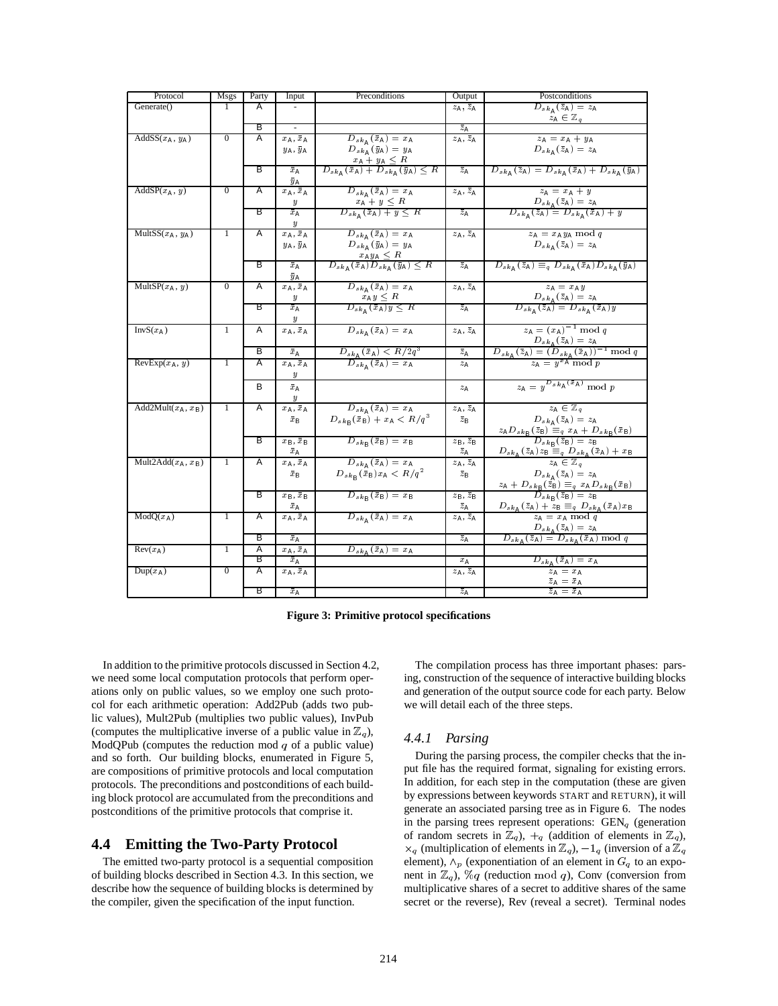| Protocol                                      | <b>Msgs</b>      | Party | Input                                  | Preconditions                                                                                                                                                               | Output                                                             | Postconditions                                                                                                                                                                                                                                           |
|-----------------------------------------------|------------------|-------|----------------------------------------|-----------------------------------------------------------------------------------------------------------------------------------------------------------------------------|--------------------------------------------------------------------|----------------------------------------------------------------------------------------------------------------------------------------------------------------------------------------------------------------------------------------------------------|
| Generate()                                    |                  | А     |                                        |                                                                                                                                                                             | $z_A$ , $\overline{z}_A$                                           | $\overline{D_{s\,k_{\mathsf{A}}\,}(\bar{z}_{\mathsf{A}})}=z_{\mathsf{A}}$<br>$z_A \in \mathbb{Z}_q$                                                                                                                                                      |
|                                               |                  | в     |                                        |                                                                                                                                                                             | $\bar{z}_{\rm A}$                                                  |                                                                                                                                                                                                                                                          |
| AddSS $(x_A, y_A)$                            | $\mathbf{0}$     | Α     | $x_A, \bar{x}_A$                       | $D_{s\,k_{\mathsf{A}}}(\bar{x}_{\mathsf{A}})=x_{\mathsf{A}}$                                                                                                                | $z_A, \bar{z}_A$                                                   | $z_A = x_A + y_A$                                                                                                                                                                                                                                        |
|                                               |                  |       | $y_A, \bar{y}_A$                       | $D_{s k_{\rm A}}(\bar{y}_{\rm A}) = y_{\rm A}$                                                                                                                              |                                                                    | $D_{s\,k_{\rm A}}(\bar{z}_{\rm A})=z_{\rm A}$                                                                                                                                                                                                            |
|                                               |                  | B     | $\bar{x}_{A}$<br>$\bar{y}_\mathsf{A}$  | $\frac{x_{\mathsf{A}} + y_{\mathsf{A}} \leq R}{D_{s k_{\mathsf{A}}}(\bar{x}_{\mathsf{A}}) + D_{s k_{\mathsf{A}}}(\bar{y}_{\mathsf{A}}) \leq R}$                             | $\overline{z}_A$                                                   | $D_{s k_{\text{A}}}(\bar{z}_{\text{A}}) = D_{s k_{\text{A}}}(\bar{x}_{\text{A}}) + D_{s k_{\text{A}}}(\bar{y}_{\text{A}})$                                                                                                                               |
| $AddSP(x_A, y)$                               | $\boldsymbol{0}$ | Α     | $x_A, \bar{x}_A$                       | $D_{s\,k_{\rm A}}\left(\bar{x}_{\rm A}\right)=x_{\rm A}$                                                                                                                    | $z_A$ , $\overline{z}_A$                                           | $z_{\rm A}=x_{\rm A}+y$                                                                                                                                                                                                                                  |
|                                               |                  |       | $\boldsymbol{y}$                       |                                                                                                                                                                             |                                                                    |                                                                                                                                                                                                                                                          |
|                                               |                  | В     | $\bar{x}_A$<br>$\boldsymbol{y}$        | $\frac{x_{\mathsf{A}}+y\leq R}{D_{sk_{\mathsf{A}}}(\bar{x}_{\mathsf{A}})+y\leq R}$                                                                                          | $\overline{z}_{\mathbf{A}}$                                        | $\frac{D_{s\,k_{\rm A}\,}(\bar{z}_{\rm A})\,=\,z_{\rm A}}{D_{s\,k_{\rm A}\,}(\bar{z}_{\rm A})\,=\,D_{s\,k_{\rm A}\,}(\bar{x}_{\rm A})\,+\,y}$                                                                                                            |
| Mult $SS(x_A, y_A)$                           | 1                | Α     | $x_A, \bar{x}_A$                       | $D_{s\,k_{\rm A}}\left(\bar{x}_{\rm A}\right)=x_{\rm A}$                                                                                                                    | $z_A$ , $\overline{z}_A$                                           | $z_A = x_A y_A \mod q$                                                                                                                                                                                                                                   |
|                                               |                  |       | $y_A, \bar{y}_A$                       | $D_{s\,k_{\rm A}}(\bar{y}_{\rm A})=y_{\rm A}$                                                                                                                               |                                                                    | $D_{s\,k_A}(\bar{z}_A)=z_A$                                                                                                                                                                                                                              |
|                                               |                  | В     | $\bar{x}_{\rm A}$<br>$\bar{y}_A$       | $\frac{x\overset{\wedge}{\otimes}y_{\mathsf{A}}\leq R}{D_{s\,k_{\mathsf{A}}}\left(\bar{x}_{\mathsf{A}}\right)D_{s\,k_{\mathsf{A}}}\left(\bar{y}_{\mathsf{A}}\right)\leq R}$ | $\bar{z}_{\rm A}$                                                  | $D_{s k_{\text{A}}}(\bar{z}_{\text{A}}) \equiv_{q} D_{s k_{\text{A}}}(\bar{x}_{\text{A}}) D_{s k_{\text{A}}}(\bar{y}_{\text{A}})$                                                                                                                        |
| Mult $SP(x_A, y)$                             | $\mathbf{0}$     | Α     | $x_A, \bar{x}_A$                       | $D_{s\,k_{\rm A}}\left(\bar{x}_{\rm A}\right)=x_{\rm A}$                                                                                                                    | $z_A$ , $\overline{z}_A$                                           | $z_{\rm A} = x_{\rm A} y$                                                                                                                                                                                                                                |
|                                               |                  |       | $\boldsymbol{y}$                       |                                                                                                                                                                             |                                                                    | $\frac{D_{s\,k_{\rm A}}(\bar{z}_{\rm A})=z_{\rm A}}{D_{s\,k_{\rm A}}(\bar{z}_{\rm A})=D_{s\,k_{\rm A}}(\bar{x}_{\rm A})y}$                                                                                                                               |
|                                               |                  | В     | $\bar{x}_{A}$<br>$\boldsymbol{y}$      | $\frac{x_{\mathsf{A}} y \leq R}{D_{s k_{\mathsf{A}}}(\bar{x}_{\mathsf{A}}) y \leq R}$                                                                                       | $\overline{z_A}$                                                   |                                                                                                                                                                                                                                                          |
| $\overline{\text{Inv}}S(x_A)$                 | 1                | Α     | $x_A, \bar{x}_A$                       | $D_{s\,k_{\rm A}}(\bar{x}_{\rm A})=x_{\rm A}$                                                                                                                               | $z_{\mathsf{A}},\,\bar{z}_{\mathsf{A}}$                            | $z_{\rm A} = (x_{\rm A})^{-1} \bmod q$                                                                                                                                                                                                                   |
|                                               |                  |       |                                        |                                                                                                                                                                             |                                                                    |                                                                                                                                                                                                                                                          |
|                                               |                  | В     | $\bar{x}_{\rm A}$                      | $\frac{D_{s\,k_{\mathsf{A}}}(\bar{x}_{\mathsf{A}}) < R/2q^3}{D_{s\,k_{\mathsf{A}}}(\bar{x}_{\mathsf{A}})=x_{\mathsf{A}}}$                                                   | $\overline{z_A}$                                                   | $\frac{D_{s\,k_\mathtt{A}}(z_\mathtt{A})=z_\mathtt{A}}{D_{s\,k_\mathtt{A}}(\bar{z}_\mathtt{A})=(D_{s\,k_\mathtt{A}}(\bar{x}_\mathtt{A}))^{-1}\ \mathrm{mod}\ q}$<br>$\frac{D_{s\,k_\mathtt{A}}(z_\mathtt{A})=v^{\mathrm{B}}\mathrm{A}\ \mathrm{mod}\ p}$ |
| $RevExp(x_A, y)$                              | 1                | A     | $x_A, \bar{x}_A$                       |                                                                                                                                                                             | $z_A$                                                              |                                                                                                                                                                                                                                                          |
|                                               |                  |       | $\boldsymbol{y}$                       |                                                                                                                                                                             |                                                                    |                                                                                                                                                                                                                                                          |
|                                               |                  | в     | $\bar{x}_{\mathsf{A}}$                 |                                                                                                                                                                             | $z_A$                                                              | $z_A = y^{D_{s k_A}(\bar{x}_A)} \mod p$                                                                                                                                                                                                                  |
|                                               |                  |       | $\boldsymbol{y}$                       |                                                                                                                                                                             |                                                                    |                                                                                                                                                                                                                                                          |
| Add2Mult $(x_A, x_B)$                         | 1                | Α     | $x_A, \bar{x}_A$                       | $D_{s\,k_{\mathsf{A}}}\left(\bar{x}_{\mathsf{A}}\right)=x_{\mathsf{A}}$                                                                                                     | $z_A$ , $\overline{z}_A$                                           | $z_A \in \mathbb{Z}_q$                                                                                                                                                                                                                                   |
|                                               |                  |       | $\bar{x}_{\mathsf{B}}$                 | $D_{s k_{\rm B}}(\bar{x}_{\rm B}) + x_{\rm A} < R/q^3$                                                                                                                      | $\bar{z}_{\mathsf{B}}$                                             | $D_{s\,k_{\rm A}}(\bar{z}_{\rm A})=z_{\rm A}$                                                                                                                                                                                                            |
|                                               |                  |       |                                        |                                                                                                                                                                             |                                                                    | $\frac{z_{\mathsf{A}}D_{s\,k_{\mathsf{B}}}\left(\bar{z}_{\mathsf{B}}\right)\overset{\sim}{=}q}\frac{x_{\mathsf{A}}+D_{s\,k_{\mathsf{B}}}\left(\bar{x}_{\mathsf{B}}\right)}{D_{s\,k_{\mathsf{B}}}\left(\bar{z}_{\mathsf{B}}\right)=z_{\mathsf{B}}}$       |
|                                               |                  | В     | $x_B, \bar{x}_B$                       | $D_{s k_B}(\bar{x}_B) = x_B$                                                                                                                                                | $z_B, \bar{z}_B$                                                   |                                                                                                                                                                                                                                                          |
|                                               |                  |       | $\bar{x}_{\mathsf{A}}$                 |                                                                                                                                                                             | $\frac{\bar{z}_{\mathsf{A}}}{z_{\mathsf{A}},\bar{z}_{\mathsf{A}}}$ | $\frac{D_{s\,k_{\mathsf{A}}}\left(\bar{z}_{\mathsf{A}}\right)z_{\mathsf{B}}\equiv_{q}D_{s\,k_{\mathsf{A}}}\left(\bar{x}_{\mathsf{A}}\right)+x_{\mathsf{B}}}{z_{\mathsf{A}}\in\mathbb{Z}_{q}}$                                                            |
| Mult2Add $(x_A, x_B)$                         | 1                | Α     | $x_A, \bar{x}_A$                       | $D_{s\,k_{\mathsf{A}}}(\bar{x}_{\mathsf{A}})=x_{\mathsf{A}}$                                                                                                                |                                                                    |                                                                                                                                                                                                                                                          |
|                                               |                  |       | $\bar{x}_{\mathsf{B}}$                 | $D_{s k_{\rm B}}(\hat{\bar{x}}_{\rm B}) x_{\rm A} < R/q^2$                                                                                                                  | $\bar{z}_{\mathsf{B}}$                                             | $D_{s\,k_{\rm A}}\left({\bar z}_{\rm A}\right)=z_{\rm A}$                                                                                                                                                                                                |
|                                               |                  | В     | $x_B, \bar{x}_B$                       | $D_{s k_{\mathsf{B}}}(\bar{x}_{\mathsf{B}})=x_{\mathsf{B}}$                                                                                                                 | $z_B, \overline{z}_B$                                              | $\frac{z_{\mathsf{A}}+D_{s\,k_{\mathsf{B}}}(\bar{z}_{\mathsf{B}})}{D_{s\,k_{\mathsf{B}}}(\bar{z}_{\mathsf{B}})=z_{\mathsf{B}}} \frac{x_{\mathsf{A}}D_{s\,k_{\mathsf{B}}}(\bar{x}_{\mathsf{B}})}{z_{\mathsf{B}}}$                                         |
|                                               |                  |       | $\bar{x}_{\mathsf{A}}$                 |                                                                                                                                                                             | $\bar{z}_{\mathsf{A}}$                                             |                                                                                                                                                                                                                                                          |
| $ModQ(x_A)$                                   | 1                | Α     | $x_A, \bar{x}_A$                       | $D_{s\,k_{\mathsf{A}}}(\bar{x}_{\mathsf{A}})=x_{\mathsf{A}}$                                                                                                                | $z_A$ , $\overline{z}_A$                                           | $\frac{D_{s k_{\mathsf{A}}}(\bar{z}_{\mathsf{A}}) + \bar{z}_{\mathsf{B}} \equiv_q D_{s k_{\mathsf{A}}}(\bar{x}_{\mathsf{A}}) x_{\mathsf{B}}}{z_{\mathsf{A}} = x_{\mathsf{A}} \bmod q}$                                                                   |
|                                               |                  |       |                                        |                                                                                                                                                                             |                                                                    |                                                                                                                                                                                                                                                          |
|                                               |                  | В     | $\bar{x}_{A}$                          |                                                                                                                                                                             | $\bar{z}_{\rm A}$                                                  | $\frac{D_{s\,k_{\mathbb{A}}}(\bar{z}_{\mathbb{A}})=z_{\mathbb{A}}}{D_{s\,k_{\mathbb{A}}}(\bar{z}_{\mathbb{A}})=D_{s\,k_{\mathbb{A}}}(\bar{x}_{\mathbb{A}})\bmod q}$                                                                                      |
| $\overline{\text{Rev}(x_{\text{A}})}$         | 1                | Α     | $x_{\mathsf{A}}, \bar{x}_{\mathsf{A}}$ | $D_{s\,k_{\rm A}}\left(\bar{x}_{\rm A}\right)=x_{\rm A}$                                                                                                                    |                                                                    |                                                                                                                                                                                                                                                          |
|                                               |                  | B     | $\bar{x}_{\mathsf{A}}$                 |                                                                                                                                                                             | $x_{A}$                                                            | $D_{s\,k_{\rm A}}(\bar{x}_{\rm A})=x_{\rm A}$                                                                                                                                                                                                            |
| $\overline{\mathrm{D}}$ up $(x_{\mathsf{A}})$ | $\mathbf{0}$     | Ā     | $x_A, \bar{x}_A$                       |                                                                                                                                                                             | $z_{\mathsf{A}},\,\bar{z}_{\mathsf{A}}$                            | $z_A = x_A$                                                                                                                                                                                                                                              |
|                                               |                  |       |                                        |                                                                                                                                                                             |                                                                    | $\bar{z}_A = \bar{x}_A$                                                                                                                                                                                                                                  |
|                                               |                  | В     | $\bar{x}_{\mathsf{A}}$                 |                                                                                                                                                                             | $\bar{z}_{\rm A}$                                                  | $\bar{z}_A = \bar{x}_A$                                                                                                                                                                                                                                  |

**Figure 3: Primitive protocol specifications**

In addition to the primitive protocols discussed in Section 4.2, we need some local computation protocols that perform operations only on public values, so we employ one such protocol for each arithmetic operation: Add2Pub (adds two public values), Mult2Pub (multiplies two public values), InvPub (computes the multiplicative inverse of a public value in  $\mathbb{Z}_q$ ), ModQPub (computes the reduction mod  $q$  of a public value) and so forth. Our building blocks, enumerated in Figure 5, are compositions of primitive protocols and local computation protocols. The preconditions and postconditions of each building block protocol are accumulated from the preconditions and postconditions of the primitive protocols that comprise it.

# **4.4 Emitting the Two-Party Protocol**

The emitted two-party protocol is a sequential composition of building blocks described in Section 4.3. In this section, we describe how the sequence of building blocks is determined by the compiler, given the specification of the input function.

The compilation process has three important phases: parsing, construction of the sequence of interactive building blocks and generation of the output source code for each party. Below we will detail each of the three steps.

#### *4.4.1 Parsing*

During the parsing process, the compiler checks that the input file has the required format, signaling for existing errors. In addition, for each step in the computation (these are given by expressions between keywords START and RETURN), it will generate an associated parsing tree as in Figure 6. The nodes in the parsing trees represent operations:  $GEN_q$  (generation of random secrets in  $\mathbb{Z}_q$ ),  $+_q$  (addition of elements in  $\mathbb{Z}_q$ ),  $\times_q$  (multiplication of elements in  $\mathbb{Z}_q$ ),  $-1_q$  (inversion of a  $\mathbb{Z}_q$ element),  $\wedge_p$  (exponentiation of an element in  $G_q$  to an exponent in  $\mathbb{Z}_q$ ),  $\%q$  (reduction mod q), Conv (conversion from multiplicative shares of a secret to additive shares of the same secret or the reverse), Rev (reveal a secret). Terminal nodes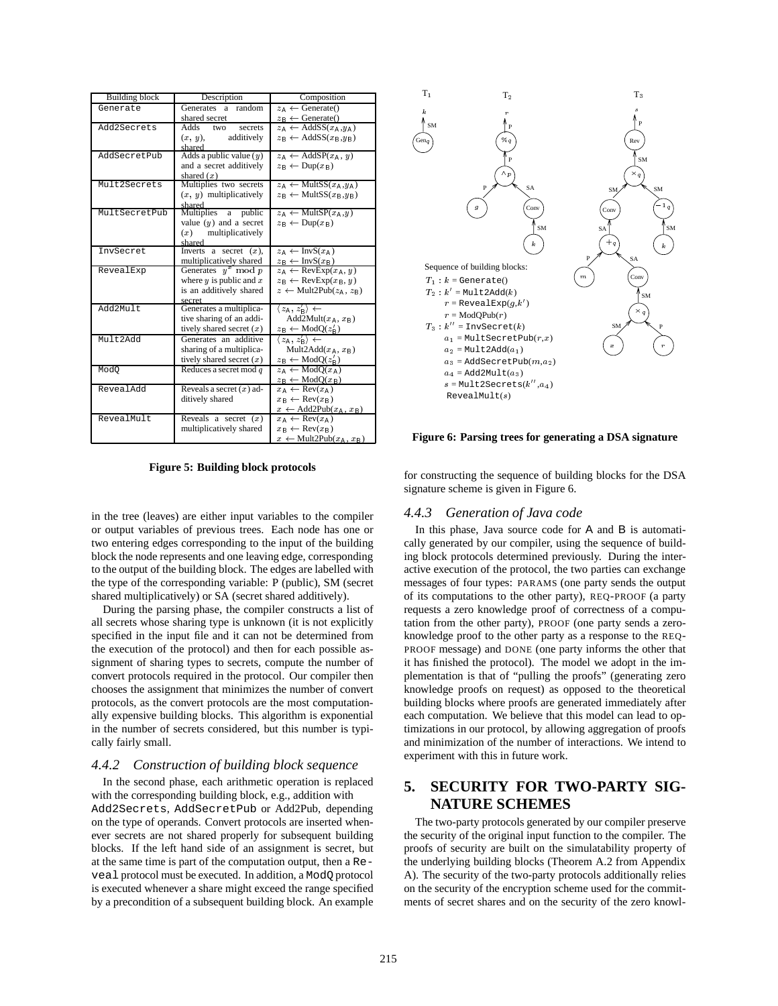| <b>Building block</b> | Description                 | Composition                                                  |
|-----------------------|-----------------------------|--------------------------------------------------------------|
| Generate              | Generates a random          | $z_{\text{A}} \leftarrow$ Generate()                         |
|                       | shared secret               | $z_{\rm B} \leftarrow$ Generate()                            |
| Add2Secrets           | Adds two<br>secrets         | $z_A \leftarrow \text{AddSS}(x_A, y_A)$                      |
|                       | additively<br>$(x, y)$ ,    | $z_{\rm B} \leftarrow \text{AddSS}(x_{\rm B}, y_{\rm B})$    |
|                       | shared                      |                                                              |
| AddSecretPub          | Adds a public value $(y)$   | $z_A \leftarrow \text{AddSP}(x_A, y)$                        |
|                       | and a secret additively     | $z_{\mathsf{R}} \leftarrow \text{Dup}(x_{\mathsf{R}})$       |
|                       | shared $(x)$                |                                                              |
| Mult2Secrets          | Multiplies two secrets      | $z_A \leftarrow \text{MultSS}(x_A, y_A)$                     |
|                       | $(x, y)$ multiplicatively   | $z_{\rm B} \leftarrow$ MultSS $(x_{\rm B}, y_{\rm B})$       |
|                       | shared                      |                                                              |
| MultSecretPub         | Multiplies a public         | $z_A \leftarrow \text{MultSP}(x_A, y)$                       |
|                       | value $(y)$ and a secret    | $z_{\rm B} \leftarrow \text{Dup}(x_{\rm B})$                 |
|                       | $(x)$ multiplicatively      |                                                              |
|                       | shared                      |                                                              |
| InvSecret             | Inverts a secret $(x)$ ,    | $z_A \leftarrow \text{InvS}(x_A)$                            |
|                       | multiplicatively shared     | $z_{\rm B} \leftarrow \text{InvS}(x_{\rm B})$                |
| RevealExp             | Generates $y^x \mod p$      | $z_A \leftarrow \text{RevExp}(x_A, y)$                       |
|                       | where $y$ is public and $x$ | $z_{\rm B} \leftarrow \text{RevExp}(x_{\rm B}, y)$           |
|                       | is an additively shared     | $z \leftarrow \text{Mult2Pub}(z_A, z_B)$                     |
| Add2Mult              | secret                      |                                                              |
|                       | Generates a multiplica-     | $\langle z_{\mathsf{A}}, z'_{\mathsf{B}} \rangle \leftarrow$ |
|                       | tive sharing of an addi-    | Add2Mult $(x_A, x_B)$                                        |
|                       | tively shared secret $(x)$  | $z_{\rm B} \leftarrow \text{ModQ}(z'_{\rm B})$               |
| Mult2Add              | Generates an additive       | $\langle z_{\mathsf{A}}, z'_{\mathsf{B}} \rangle \leftarrow$ |
|                       | sharing of a multiplica-    | Mult2Add $(x_A, x_B)$                                        |
|                       | tively shared secret $(x)$  | $z_{\rm B} \leftarrow \text{ModQ}(z'_{\rm B})$               |
| Mod <sub>0</sub>      | Reduces a secret mod $q$    | $z_{\mathbb{A}} \leftarrow \text{ModO}(x_{\mathbb{A}})$      |
|                       |                             | $z_{\rm B} \leftarrow \text{ModQ}(x_{\rm B})$                |
| RevealAdd             | Reveals a secret $(x)$ ad-  | $x_A \leftarrow \text{Rev}(x_A)$                             |
|                       | ditively shared             | $x_{\rm B} \leftarrow \text{Rev}(x_{\rm B})$                 |
|                       |                             | $x \leftarrow \text{Add2Pub}(x_A, x_B)$                      |
| RevealMult            | Reveals a secret $(x)$      | $x_A \leftarrow \text{Rev}(x_A)$                             |
|                       | multiplicatively shared     | $x_{\rm B} \leftarrow \text{Rev}(x_{\rm B})$                 |
|                       |                             | $x \leftarrow \text{Mult2Pub}(x_A, x_B)$                     |

**Figure 5: Building block protocols**

in the tree (leaves) are either input variables to the compiler or output variables of previous trees. Each node has one or two entering edges corresponding to the input of the building block the node represents and one leaving edge, corresponding to the output of the building block. The edges are labelled with the type of the corresponding variable: P (public), SM (secret shared multiplicatively) or SA (secret shared additively).

During the parsing phase, the compiler constructs a list of all secrets whose sharing type is unknown (it is not explicitly specified in the input file and it can not be determined from the execution of the protocol) and then for each possible assignment of sharing types to secrets, compute the number of convert protocols required in the protocol. Our compiler then chooses the assignment that minimizes the number of convert protocols, as the convert protocols are the most computationally expensive building blocks. This algorithm is exponential in the number of secrets considered, but this number is typically fairly small.

#### *4.4.2 Construction of building block sequence*

In the second phase, each arithmetic operation is replaced with the corresponding building block, e.g., addition with Add2Secrets, AddSecretPub or Add2Pub, depending on the type of operands. Convert protocols are inserted whenever secrets are not shared properly for subsequent building blocks. If the left hand side of an assignment is secret, but at the same time is part of the computation output, then a Reveal protocol must be executed. In addition, a ModQ protocol is executed whenever a share might exceed the range specified by a precondition of a subsequent building block. An example



#### **Figure 6: Parsing trees for generating a DSA signature**

for constructing the sequence of building blocks for the DSA signature scheme is given in Figure 6.

# *4.4.3 Generation of Java code*

In this phase, Java source code for A and B is automatically generated by our compiler, using the sequence of building block protocols determined previously. During the interactive execution of the protocol, the two parties can exchange messages of four types: PARAMS (one party sends the output of its computations to the other party), REQ-PROOF (a party requests a zero knowledge proof of correctness of a computation from the other party), PROOF (one party sends a zeroknowledge proof to the other party as a response to the REQ-PROOF message) and DONE (one party informs the other that it has finished the protocol). The model we adopt in the implementation is that of "pulling the proofs" (generating zero knowledge proofs on request) as opposed to the theoretical building blocks where proofs are generated immediately after each computation. We believe that this model can lead to optimizations in our protocol, by allowing aggregation of proofs and minimization of the number of interactions. We intend to experiment with this in future work.

# **5. SECURITY FOR TWO-PARTY SIG-NATURE SCHEMES**

The two-party protocols generated by our compiler preserve the security of the original input function to the compiler. The proofs of security are built on the simulatability property of the underlying building blocks (Theorem A.2 from Appendix A). The security of the two-party protocols additionally relies on the security of the encryption scheme used for the commitments of secret shares and on the security of the zero knowl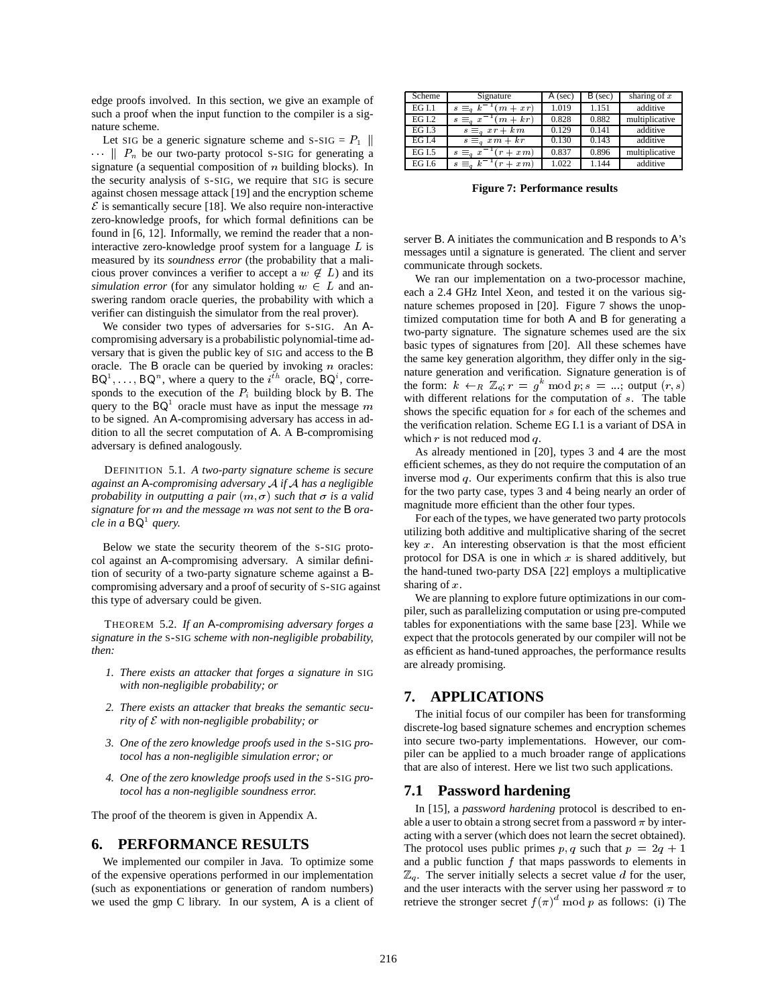edge proofs involved. In this section, we give an example of such a proof when the input function to the compiler is a signature scheme.

Let SIG be a generic signature scheme and S-SIG =  $P_1$  ||  $\cdots$  |  $P_n$  be our two-party protocol S-SIG for generating a signature (a sequential composition of  $n$  building blocks). In the security analysis of S-SIG, we require that SIG is secure against chosen message attack [19] and the encryption scheme  $\mathcal E$  is semantically secure [18]. We also require non-interactive zero-knowledge proofs, for which formal definitions can be found in [6, 12]. Informally, we remind the reader that a noninteractive zero-knowledge proof system for a language <sup>L</sup> is measured by its *soundness error* (the probability that a malicious prover convinces a verifier to accept a  $w \notin L$ ) and its *simulation error* (for any simulator holding  $w \in L$  and answering random oracle queries, the probability with which a verifier can distinguish the simulator from the real prover).

We consider two types of adversaries for S-SIG. An Acompromising adversary is a probabilistic polynomial-time adversary that is given the public key of SIG and access to the B oracle. The  $\bf{B}$  oracle can be queried by invoking *n* oracles:  $BQ<sup>T</sup>, \ldots, BQ<sup>n</sup>$ , where a query to the  $i<sup>th</sup>$  oracle,  $BQ<sup>t</sup>$ , corresponds to the execution of the  $P_i$  building block by B. The query to the  $BQ^1$  oracle must have as input the message m to be signed. An A-compromising adversary has access in addition to all the secret computation of A. A B-compromising adversary is defined analogously.

DEFINITION 5.1. *A two-party signature scheme is secure against an* A*-compromising adversary* <sup>A</sup> *if* <sup>A</sup> *has a negligible probability in outputting a pair*  $(m, \sigma)$  *such that*  $\sigma$  *is a valid signature for* <sup>m</sup> *and the message* <sup>m</sup> *was not sent to the* B *oracle in a* BQ1 *query.*

Below we state the security theorem of the S-SIG protocol against an A-compromising adversary. A similar definition of security of a two-party signature scheme against a Bcompromising adversary and a proof of security of S-SIG against this type of adversary could be given.

THEOREM 5.2. *If an* A*-compromising adversary forges a signature in the* S-SIG *scheme with non-negligible probability, then:*

- *1. There exists an attacker that forges a signature in* SIG *with non-negligible probability; or*
- *2. There exists an attacker that breaks the semantic security of* <sup>E</sup> *with non-negligible probability; or*
- *3. One of the zero knowledge proofs used in the* S-SIG *protocol has a non-negligible simulation error; or*
- *4. One of the zero knowledge proofs used in the* S-SIG *protocol has a non-negligible soundness error.*

The proof of the theorem is given in Appendix A.

# **6. PERFORMANCE RESULTS**

We implemented our compiler in Java. To optimize some of the expensive operations performed in our implementation (such as exponentiations or generation of random numbers) we used the gmp C library. In our system, A is a client of

| Scheme        | Signature                        | A (sec) | $B$ (sec) | sharing of $x$ |
|---------------|----------------------------------|---------|-----------|----------------|
| EGI.1         | $s \equiv a k^{-1}$<br>$m + xr)$ | 1.019   | 1.151     | additive       |
| <b>EG I.2</b> | $(m + kr)$<br>a x<br>$s =$       | 0.828   | 0.882     | multiplicative |
| EG I.3        | $s \equiv_a xr + km$             | 0.129   | 0.141     | additive       |
| <b>EG I.4</b> | $s \equiv_a xm + kr$             | 0.130   | 0.143     | additive       |
| EG I.5        | $s \equiv_a x^{-1}$<br>$x_m$     | 0.837   | 0.896     | multiplicative |
| <b>EG I.6</b> | $s \equiv_a k$<br>$x_m$          | 1.022   | 1.144     | additive       |

**Figure 7: Performance results**

server B. A initiates the communication and B responds to A's messages until a signature is generated. The client and server communicate through sockets.

We ran our implementation on a two-processor machine, each a 2.4 GHz Intel Xeon, and tested it on the various signature schemes proposed in [20]. Figure 7 shows the unoptimized computation time for both A and B for generating a two-party signature. The signature schemes used are the six basic types of signatures from [20]. All these schemes have the same key generation algorithm, they differ only in the signature generation and verification. Signature generation is of the form:  $k \leftarrow_R \mathbb{Z}_q$ ;  $r = g^k \mod p$ ;  $s = ...$ ; output  $(r, s)$ with different relations for the computation of s. The table shows the specific equation for s for each of the schemes and the verification relation. Scheme EG I.1 is a variant of DSA in which  $r$  is not reduced mod  $q$ .

As already mentioned in [20], types 3 and 4 are the most efficient schemes, as they do not require the computation of an inverse mod q. Our experiments confirm that this is also true for the two party case, types 3 and 4 being nearly an order of magnitude more efficient than the other four types.

For each of the types, we have generated two party protocols utilizing both additive and multiplicative sharing of the secret key  $x$ . An interesting observation is that the most efficient protocol for DSA is one in which  $x$  is shared additively, but the hand-tuned two-party DSA [22] employs a multiplicative sharing of x.

We are planning to explore future optimizations in our compiler, such as parallelizing computation or using pre-computed tables for exponentiations with the same base [23]. While we expect that the protocols generated by our compiler will not be as efficient as hand-tuned approaches, the performance results are already promising.

# **7. APPLICATIONS**

The initial focus of our compiler has been for transforming discrete-log based signature schemes and encryption schemes into secure two-party implementations. However, our compiler can be applied to a much broader range of applications that are also of interest. Here we list two such applications.

#### **7.1 Password hardening**

In [15], a *password hardening* protocol is described to enable a user to obtain a strong secret from a password  $\pi$  by interacting with a server (which does not learn the secret obtained). The protocol uses public primes p; q such that  $p = 2q + 1$ and a public function  $f$  that maps passwords to elements in  $\mathbb{Z}_q$ . The server initially selects a secret value d for the user, and the user interacts with the server using her password  $\pi$  to retrieve the stronger secret  $f(\pi)^d \mod p$  as follows: (i) The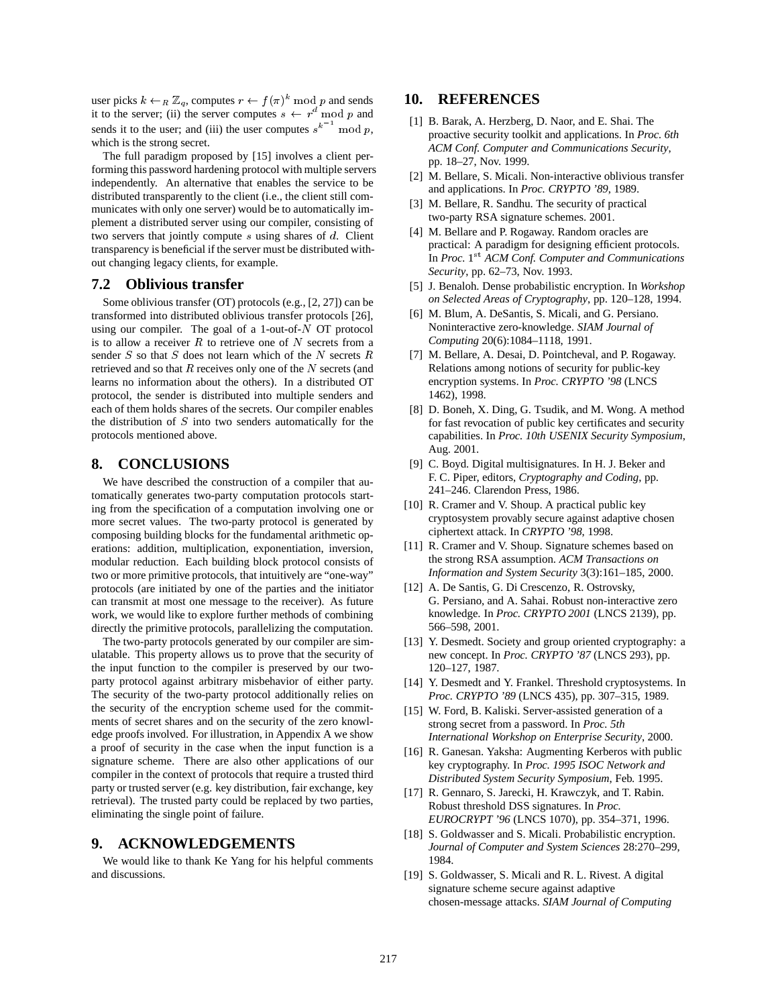user picks  $k \leftarrow_R \mathbb{Z}_q$ , computes  $r \leftarrow f(\pi)^k \mod p$  and sends it to the server; (ii) the server computes  $s \leftarrow r^d \mod p$  and sends it to the user; and (iii) the user computes  $s^k$  mod p, which is the strong secret.

The full paradigm proposed by [15] involves a client performing this password hardening protocol with multiple servers independently. An alternative that enables the service to be distributed transparently to the client (i.e., the client still communicates with only one server) would be to automatically implement a distributed server using our compiler, consisting of two servers that jointly compute s using shares of d. Client transparency is beneficial if the server must be distributed without changing legacy clients, for example.

# **7.2 Oblivious transfer**

Some oblivious transfer (OT) protocols (e.g., [2, 27]) can be transformed into distributed oblivious transfer protocols [26], using our compiler. The goal of a 1-out-of- $\overline{N}$  OT protocol is to allow a receiver  $R$  to retrieve one of  $N$  secrets from a sender  $S$  so that  $S$  does not learn which of the  $N$  secrets  $R$ retrieved and so that  $R$  receives only one of the  $N$  secrets (and learns no information about the others). In a distributed OT protocol, the sender is distributed into multiple senders and each of them holds shares of the secrets. Our compiler enables the distribution of  $S$  into two senders automatically for the protocols mentioned above.

### **8. CONCLUSIONS**

We have described the construction of a compiler that automatically generates two-party computation protocols starting from the specification of a computation involving one or more secret values. The two-party protocol is generated by composing building blocks for the fundamental arithmetic operations: addition, multiplication, exponentiation, inversion, modular reduction. Each building block protocol consists of two or more primitive protocols, that intuitively are "one-way" protocols (are initiated by one of the parties and the initiator can transmit at most one message to the receiver). As future work, we would like to explore further methods of combining directly the primitive protocols, parallelizing the computation.

The two-party protocols generated by our compiler are simulatable. This property allows us to prove that the security of the input function to the compiler is preserved by our twoparty protocol against arbitrary misbehavior of either party. The security of the two-party protocol additionally relies on the security of the encryption scheme used for the commitments of secret shares and on the security of the zero knowledge proofs involved. For illustration, in Appendix A we show a proof of security in the case when the input function is a signature scheme. There are also other applications of our compiler in the context of protocols that require a trusted third party or trusted server (e.g. key distribution, fair exchange, key retrieval). The trusted party could be replaced by two parties, eliminating the single point of failure.

# **9. ACKNOWLEDGEMENTS**

We would like to thank Ke Yang for his helpful comments and discussions.

# **10. REFERENCES**

- [1] B. Barak, A. Herzberg, D. Naor, and E. Shai. The proactive security toolkit and applications. In *Proc. 6th ACM Conf. Computer and Communications Security*, pp. 18–27, Nov. 1999.
- [2] M. Bellare, S. Micali. Non-interactive oblivious transfer and applications. In *Proc. CRYPTO '89*, 1989.
- [3] M. Bellare, R. Sandhu. The security of practical two-party RSA signature schemes. 2001.
- [4] M. Bellare and P. Rogaway. Random oracles are practical: A paradigm for designing efficient protocols. In *Proc.* 1<sup>st</sup> ACM Conf. Computer and Communications *Security*, pp. 62–73, Nov. 1993.
- [5] J. Benaloh. Dense probabilistic encryption. In *Workshop on Selected Areas of Cryptography*, pp. 120–128, 1994.
- [6] M. Blum, A. DeSantis, S. Micali, and G. Persiano. Noninteractive zero-knowledge. *SIAM Journal of Computing* 20(6):1084–1118, 1991.
- [7] M. Bellare, A. Desai, D. Pointcheval, and P. Rogaway. Relations among notions of security for public-key encryption systems. In *Proc. CRYPTO '98* (LNCS 1462), 1998.
- [8] D. Boneh, X. Ding, G. Tsudik, and M. Wong. A method for fast revocation of public key certificates and security capabilities. In *Proc. 10th USENIX Security Symposium*, Aug. 2001.
- [9] C. Boyd. Digital multisignatures. In H. J. Beker and F. C. Piper, editors, *Cryptography and Coding*, pp. 241–246. Clarendon Press, 1986.
- [10] R. Cramer and V. Shoup. A practical public key cryptosystem provably secure against adaptive chosen ciphertext attack. In *CRYPTO '98*, 1998.
- [11] R. Cramer and V. Shoup. Signature schemes based on the strong RSA assumption. *ACM Transactions on Information and System Security* 3(3):161–185, 2000.
- [12] A. De Santis, G. Di Crescenzo, R. Ostrovsky, G. Persiano, and A. Sahai. Robust non-interactive zero knowledge. In *Proc. CRYPTO 2001* (LNCS 2139), pp. 566–598, 2001.
- [13] Y. Desmedt. Society and group oriented cryptography: a new concept. In *Proc. CRYPTO '87* (LNCS 293), pp. 120–127, 1987.
- [14] Y. Desmedt and Y. Frankel. Threshold cryptosystems. In *Proc. CRYPTO '89* (LNCS 435), pp. 307–315, 1989.
- [15] W. Ford, B. Kaliski. Server-assisted generation of a strong secret from a password. In *Proc. 5th International Workshop on Enterprise Security*, 2000.
- [16] R. Ganesan. Yaksha: Augmenting Kerberos with public key cryptography. In *Proc. 1995 ISOC Network and Distributed System Security Symposium*, Feb. 1995.
- [17] R. Gennaro, S. Jarecki, H. Krawczyk, and T. Rabin. Robust threshold DSS signatures. In *Proc. EUROCRYPT '96* (LNCS 1070), pp. 354–371, 1996.
- [18] S. Goldwasser and S. Micali. Probabilistic encryption. *Journal of Computer and System Sciences* 28:270–299, 1984.
- [19] S. Goldwasser, S. Micali and R. L. Rivest. A digital signature scheme secure against adaptive chosen-message attacks. *SIAM Journal of Computing*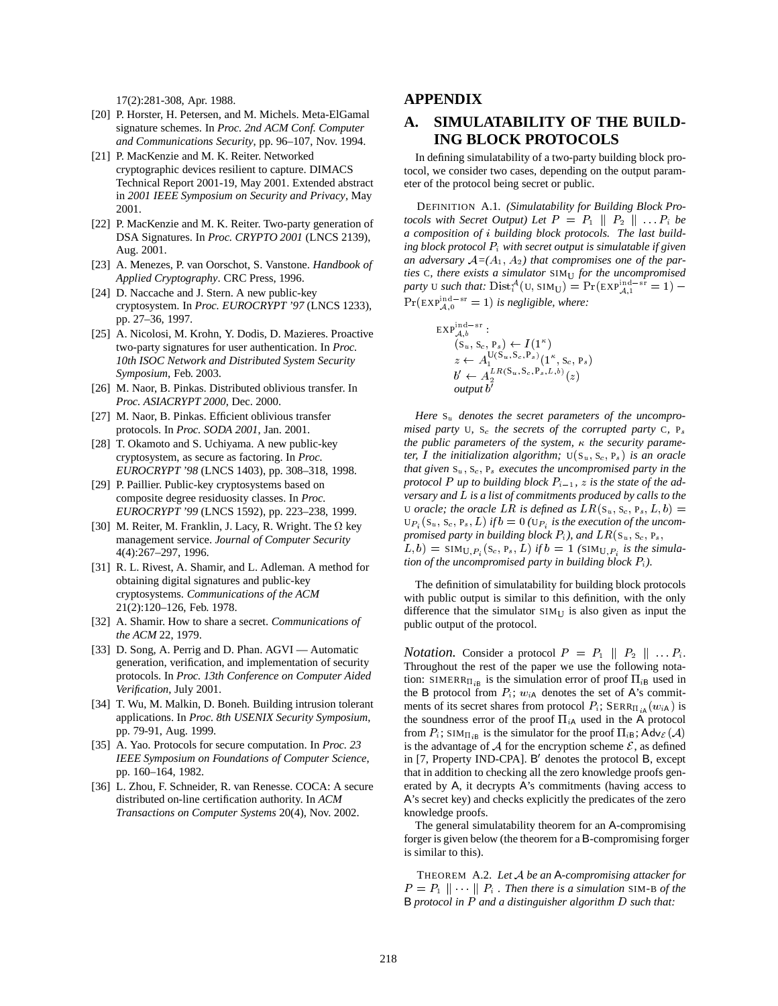17(2):281-308, Apr. 1988.

- [20] P. Horster, H. Petersen, and M. Michels. Meta-ElGamal signature schemes. In *Proc. 2nd ACM Conf. Computer and Communications Security*, pp. 96–107, Nov. 1994.
- [21] P. MacKenzie and M. K. Reiter. Networked cryptographic devices resilient to capture. DIMACS Technical Report 2001-19, May 2001. Extended abstract in *2001 IEEE Symposium on Security and Privacy*, May 2001.
- [22] P. MacKenzie and M. K. Reiter. Two-party generation of DSA Signatures. In *Proc. CRYPTO 2001* (LNCS 2139), Aug. 2001.
- [23] A. Menezes, P. van Oorschot, S. Vanstone. *Handbook of Applied Cryptography*. CRC Press, 1996.
- [24] D. Naccache and J. Stern. A new public-key cryptosystem. In *Proc. EUROCRYPT '97* (LNCS 1233), pp. 27–36, 1997.
- [25] A. Nicolosi, M. Krohn, Y. Dodis, D. Mazieres. Proactive two-party signatures for user authentication. In *Proc. 10th ISOC Network and Distributed System Security Symposium*, Feb. 2003.
- [26] M. Naor, B. Pinkas. Distributed oblivious transfer. In *Proc. ASIACRYPT 2000*, Dec. 2000.
- [27] M. Naor, B. Pinkas. Efficient oblivious transfer protocols. In *Proc. SODA 2001*, Jan. 2001.
- [28] T. Okamoto and S. Uchiyama. A new public-key cryptosystem, as secure as factoring. In *Proc. EUROCRYPT '98* (LNCS 1403), pp. 308–318, 1998.
- [29] P. Paillier. Public-key cryptosystems based on composite degree residuosity classes. In *Proc. EUROCRYPT '99* (LNCS 1592), pp. 223–238, 1999.
- [30] M. Reiter, M. Franklin, J. Lacy, R. Wright. The  $\Omega$  key management service. *Journal of Computer Security* 4(4):267–297, 1996.
- [31] R. L. Rivest, A. Shamir, and L. Adleman. A method for obtaining digital signatures and public-key cryptosystems. *Communications of the ACM* 21(2):120–126, Feb. 1978.
- [32] A. Shamir. How to share a secret. *Communications of the ACM* 22, 1979.
- [33] D. Song, A. Perrig and D. Phan. AGVI Automatic generation, verification, and implementation of security protocols. In *Proc. 13th Conference on Computer Aided Verification*, July 2001.
- [34] T. Wu, M. Malkin, D. Boneh. Building intrusion tolerant applications. In *Proc. 8th USENIX Security Symposium*, pp. 79-91, Aug. 1999.
- [35] A. Yao. Protocols for secure computation. In *Proc. 23 IEEE Symposium on Foundations of Computer Science*, pp. 160–164, 1982.
- [36] L. Zhou, F. Schneider, R. van Renesse. COCA: A secure distributed on-line certification authority. In *ACM Transactions on Computer Systems* 20(4), Nov. 2002.

# **APPENDIX**

# **A. SIMULATABILITY OF THE BUILD-ING BLOCK PROTOCOLS**

In defining simulatability of a two-party building block protocol, we consider two cases, depending on the output parameter of the protocol being secret or public.

DEFINITION A.1. *(Simulatability for Building Block Protocols with Secret Output) Let*  $P = P_1 \parallel P_2 \parallel \ldots P_i$  *be a composition of* <sup>i</sup> *building block protocols. The last building block protocol* Pi *with secret output is simulatable if given* an adversary  $A=(A_1, A_2)$  that compromises one of the par*ties* C*, there exists a simulator* SIMU *for the uncompromised party* U *such that:*  $Dist_i^{\mathcal{A}}(U, SIM_U) = Pr(EXP_{\mathcal{A},1}^{\text{ind-sr}} = 1)$  –  $Pr(EXP_{A,0}^{\text{ind-sr}} = 1)$  *is negligible, where:* 

$$
\begin{array}{l}\n\text{EXP}_{\mathcal{A},b}^{\text{ind-sr}}: \\
(\text{S}_u, \text{S}_c, \text{P}_s) \leftarrow I(1^{\kappa}) \\
z \leftarrow A_1^{\text{U}(\text{S}_u, \text{S}_c, \text{P}_s)}(1^{\kappa}, \text{S}_c, \text{P}_s) \\
b' \leftarrow A_2^{LR(\text{S}_u, \text{S}_c, \text{P}_s, L, b)}(z) \\
\text{output } b'\n\end{array}
$$

Here  $S_u$  denotes the secret parameters of the uncompro*mised party* U, S<sub>c</sub> *the secrets of the corrupted party* C,  $P_s$ *the public parameters of the system, the security parameter, I* the initialization algorithm;  $U(S_u, S_c, P_s)$  *is an oracle that given* Su; Sc; P<sup>s</sup> *executes the uncompromised party in the protocol* P *up to building block*  $P_{i-1}$ *, z is the state of the adversary and* L *is a list of commitments produced by calls to the* U *oracle; the oracle LR is defined as*  $LR(s_u, s_c, P_s, L, b)$  =  $U_{P_i}(S_u, S_c, P_s, L)$  *if*  $b = 0$  ( $U_{P_i}$  *is the execution of the uncompromised party in building block*  $P_i$ *), and*  $LR(S_u, S_c, P_s)$  $(L, b) = \text{SIM}_{U, P_i}(S_c, P_s, L)$  *if*  $b = 1$  *(SIM<sub>U,Pi</sub> is the simulation of the uncompromised party in building block*  $P_i$ *).* 

The definition of simulatability for building block protocols with public output is similar to this definition, with the only difference that the simulator  $SIM_U$  is also given as input the public output of the protocol.

*Notation.* Consider a protocol  $P = P_1 \parallel P_2 \parallel \ldots P_i$ . Throughout the rest of the paper we use the following notation: SIMERR $\Pi_{iB}$  is the simulation error of proof  $\Pi_{iB}$  used in the B protocol from  $P_i$ ;  $w_{iA}$  denotes the set of A's commitments of its secret shares from protocol  $P_i$ ; SERR $_{\Pi_{iA}}(w_i)$  is the soundness error of the proof  $\Pi_{iA}$  used in the A protocol from  $P_i$ ; SIM $_{\Pi_{iB}}$  is the simulator for the proof  $\Pi_{iB}$ ; Adv $_{\mathcal{E}}(\mathcal{A})$ is the advantage of  $A$  for the encryption scheme  $E$ , as defined in [7, Property IND-CPA]. B' denotes the protocol B, except that in addition to checking all the zero knowledge proofs generated by A, it decrypts A's commitments (having access to A's secret key) and checks explicitly the predicates of the zero knowledge proofs.

The general simulatability theorem for an A-compromising forger is given below (the theorem for a B-compromising forger is similar to this).

THEOREM A.2. *Let* <sup>A</sup> *be an* A*-compromising attacker for*  $P = P_1 \parallel \cdots \parallel P_i$ . Then there is a simulation SIM-B of the B *protocol in* <sup>P</sup> *and a distinguisher algorithm* <sup>D</sup> *such that:*